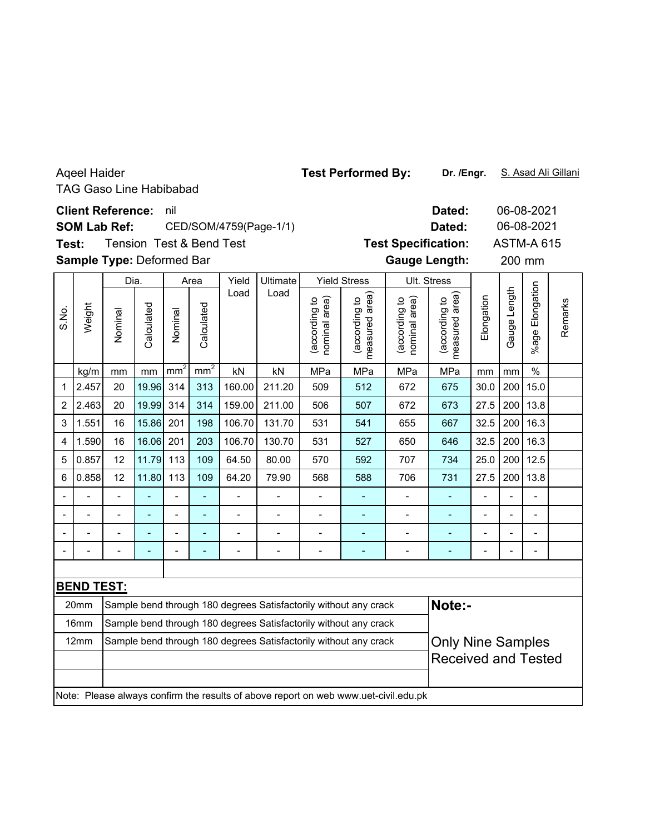|                                                                          | <b>Ageel Haider</b> | <b>TAG Gaso Line Habibabad</b>                                               |                                     |                 |                 |                |                          | <b>Test Performed By:</b>                                              |                                                                                     |                                | Dr. /Engr.                      |                                                        | S. Asad Ali Gillani                                     |                          |         |  |
|--------------------------------------------------------------------------|---------------------|------------------------------------------------------------------------------|-------------------------------------|-----------------|-----------------|----------------|--------------------------|------------------------------------------------------------------------|-------------------------------------------------------------------------------------|--------------------------------|---------------------------------|--------------------------------------------------------|---------------------------------------------------------|--------------------------|---------|--|
| Test:                                                                    |                     | <b>Client Reference:</b><br><b>SOM Lab Ref:</b><br>Sample Type: Deformed Bar | <b>Tension Test &amp; Bend Test</b> | nil             |                 |                | CED/SOM/4759(Page-1/1)   | Dated:<br>Dated:<br><b>Test Specification:</b><br><b>Gauge Length:</b> |                                                                                     |                                |                                 |                                                        | 06-08-2021<br>06-08-2021<br><b>ASTM-A 615</b><br>200 mm |                          |         |  |
|                                                                          |                     | Dia.                                                                         |                                     | Area            |                 | Yield          | Ultimate                 |                                                                        | <b>Yield Stress</b>                                                                 |                                | Ult. Stress                     |                                                        |                                                         |                          |         |  |
| S.No.                                                                    | Weight              | Nominal                                                                      | Calculated                          | Nominal         | Calculated      | Load           | Load                     | (according to<br>nominal area)                                         | area)<br>(according to<br>measured                                                  | nominal area)<br>(according to | measured area)<br>(according to | Elongation                                             | Gauge Length                                            | Elongation<br>%age l     | Remarks |  |
|                                                                          | kg/m                | mm                                                                           | mm                                  | mm <sup>2</sup> | mm <sup>2</sup> | kN             | kN                       | MPa                                                                    | MPa                                                                                 | MPa                            | MPa                             | mm                                                     | mm                                                      | $\frac{0}{0}$            |         |  |
| 1                                                                        | 2.457               | 20                                                                           | 19.96                               | 314             | 313             | 160.00         | 211.20                   | 509                                                                    | 512                                                                                 | 672                            | 675                             | 30.0                                                   | 200                                                     | 15.0                     |         |  |
| $\overline{c}$                                                           | 2.463               | 20                                                                           | 19.99                               | 314             | 314             | 159.00         | 211.00                   | 506                                                                    | 507                                                                                 | 672                            | 673                             | 27.5                                                   | 200                                                     | 13.8                     |         |  |
| 3                                                                        | 1.551               | 16                                                                           | 15.86                               | 201             | 198             | 106.70         | 131.70                   | 531                                                                    | 541                                                                                 | 655                            | 667                             | 32.5                                                   | 200                                                     | 16.3                     |         |  |
| 4                                                                        | 1.590               | 16                                                                           | 16.06                               | 201             | 203             | 106.70         | 130.70                   | 531                                                                    | 527                                                                                 | 650                            | 646                             | 32.5                                                   | 200                                                     | 16.3                     |         |  |
| 5                                                                        | 0.857               | 12                                                                           | 11.79                               | 113             | 109             | 64.50          | 80.00                    | 570                                                                    | 592                                                                                 | 707                            | 734                             | 25.0                                                   | 200                                                     | 12.5                     |         |  |
| 6                                                                        | 0.858               | 12                                                                           | 11.80                               | 113             | 109             | 64.20          | 79.90                    | 568                                                                    | 588                                                                                 | 706                            | 731                             | 27.5                                                   | 200                                                     | 13.8                     |         |  |
|                                                                          |                     |                                                                              |                                     | $\overline{a}$  |                 | $\overline{a}$ |                          | $\overline{\phantom{0}}$                                               | ٠                                                                                   | $\overline{a}$                 | ÷,                              | $\overline{\phantom{a}}$                               | L.                                                      | L,                       |         |  |
|                                                                          |                     | $\overline{a}$                                                               | ä,                                  | $\overline{a}$  | ÷,              | $\overline{a}$ | $\overline{\phantom{0}}$ | $\frac{1}{2}$                                                          | ÷,                                                                                  | -                              | L,                              | $\frac{1}{2}$                                          |                                                         | $\overline{a}$           |         |  |
|                                                                          |                     | $\overline{a}$                                                               | ÷,                                  | $\blacksquare$  | $\overline{a}$  | $\overline{a}$ | $\overline{a}$           | $\overline{\phantom{0}}$                                               | ÷,                                                                                  | $\overline{a}$                 | ٠                               | ÷,                                                     |                                                         | $\overline{\phantom{0}}$ |         |  |
|                                                                          |                     |                                                                              |                                     |                 |                 |                |                          |                                                                        |                                                                                     |                                |                                 |                                                        |                                                         |                          |         |  |
|                                                                          |                     |                                                                              |                                     |                 |                 |                |                          |                                                                        |                                                                                     |                                |                                 |                                                        |                                                         |                          |         |  |
|                                                                          | <b>BEND TEST:</b>   |                                                                              |                                     |                 |                 |                |                          |                                                                        |                                                                                     |                                |                                 |                                                        |                                                         |                          |         |  |
|                                                                          | 20mm                |                                                                              |                                     |                 |                 |                |                          |                                                                        | Sample bend through 180 degrees Satisfactorily without any crack                    |                                | Note:-                          |                                                        |                                                         |                          |         |  |
|                                                                          | 16mm                |                                                                              |                                     |                 |                 |                |                          |                                                                        | Sample bend through 180 degrees Satisfactorily without any crack                    |                                |                                 |                                                        |                                                         |                          |         |  |
| 12mm<br>Sample bend through 180 degrees Satisfactorily without any crack |                     |                                                                              |                                     |                 |                 |                |                          |                                                                        |                                                                                     |                                |                                 | <b>Only Nine Samples</b><br><b>Received and Tested</b> |                                                         |                          |         |  |
|                                                                          |                     |                                                                              |                                     |                 |                 |                |                          |                                                                        | Note: Please always confirm the results of above report on web www.uet-civil.edu.pk |                                |                                 |                                                        |                                                         |                          |         |  |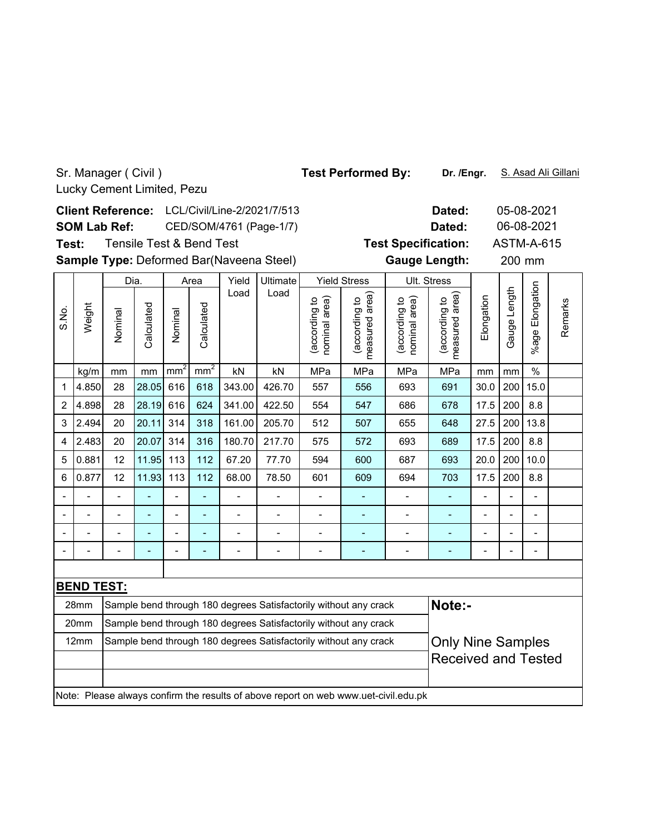### **Dated:** 05-08-2021 LCL/Civil/Line-2/2021/7/513 **Client Reference:** 06-08-2021 **SOM Lab Ref:** CED/SOM/4761 (Page-1/7) **Dated: Test Specification:** ASTM-A-615 Tensile Test & Bend Test **Test:** Sample Type: Deformed Bar(Naveena Steel) **Cauge Length:** 200 mm **Gauge Length:** 200 mm Yield Stress Dia. Area Yield Ultimate Ult. Stress %age Elongation %age Elongatior Load Load (according to<br>measured area) (according to<br>measured area) Gauge Length Gauge Length (according to<br>nominal area) measured area) (according to<br>nominal area) measured area) **Elongation** (according to (according to (according to (according to nominal area) nominal area) Remarks Remarks Weight Calculated S.No. Calculated Calculated Calculated Nominal Nominal kg/m | mm | mm | mm² | nm² | kN | kN | MPa | MPa | MPa | MPa | mm | mm | % 1 |4.850| 28 |28.05| 616 | 618 | 343.00 | 426.70 | 557 | 556 | 693 | 691 | 30.0 | 200 | 15.0 2 |4.898| 28 |28.19| 616 | 624 | 341.00 | 422.50 | 554 | 547 | 686 | 678 | 17.5 | 200 | 8.8 3 2.494 20 20.11 314 318 161.00 205.70 512 507 655 648 27.5 200 13.8 4 |2.483| 20 |20.07| 314 | 316 | 180.70| 217.70 | 575 | 572 | 693 | 689 | 17.5 | 200 | 8.8 5 |0.881| 12 |11.95| 113 | 112 | 67.20 | 77.70 | 594 | 600 | 687 | 693 |20.0 |200 |10.0 6 0.877 12 11.93 113 112 68.00 78.50 601 609 694 703 17.5 200 8.8 -- - - - - - - - - - - - -- -- - - - - - - - - - - - -- -- - - - - - - - - - - - -- -- - - - - - - - - - - - -- **BEND TEST:** 28mm  $\, \, \vert$ Sample bend through 180 degrees Satisfactorily without any crack  $\, \vert$  <code>Note:-</code> 20mm Sample bend through 180 degrees Satisfactorily without any crack12mm Sample bend through 180 degrees Satisfactorily without any crack **Only Nine Samples** Received and Tested

Note: Please always confirm the results of above report on web www.uet-civil.edu.pk

**Dr. /Engr.** Test Performed By: Dr. /Engr. S. Asad Ali Gillani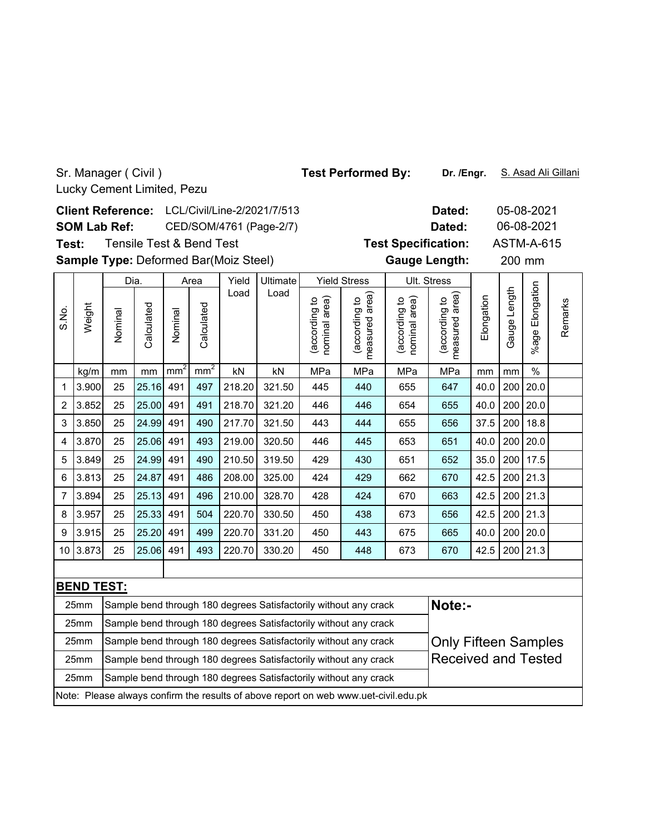**Dated:** 05-08-2021 LCL/Civil/Line-2/2021/7/513 **Client Reference:** 06-08-2021 **SOM Lab Ref:** CED/SOM/4761 (Page-2/7) **Dated:** Tensile Test & Bend Test **Test Specification:** ASTM-A-615 **Test:** Sample Type: Deformed Bar(Moiz Steel) **Cauge Length:** 200 mm **Gauge Length:** 200 mm Dia. Area Yield Ultimate Yield Stress Ult. Stress %age Elongation %age Elongation Load Load (according to<br>measured area) (according to<br>measured area) Gauge Length Gauge Length (according to<br>nominal area) measured area) (according to<br>nominal area) measured area) **Elongation** (according to (according to (according to (according to nominal area) nominal area) Weight Calculated Calculated S.No. Calculated Calculated Nominal Nominal kg/m | mm | mm | mm² | nm² | kN | kN | MPa | MPa | MPa | MPa | mm | mm | % 1 |3.900| 25 |25.16| 491 | 497 | 218.20 | 321.50 | 445 | 440 | 655 | 647 | 40.0 | 200 | 20.0 2 3.852 25 25.00 491 491 218.70 321.20 446 446 654 655 40.0 200 20.0 3 33.850 25 24.99 491 | 490 | 217.70 | 321.50 | 443 | 444 | 655 | 656 | 37.5 | 200 | 18.8 4 |3.870| 25 |25.06| 491 | 493 | 219.00 | 320.50 | 446 | 445 | 653 | 651 | 40.0 | 200 | 20.0 5 3.849 25 24.99 491 490 210.50 319.50 429 430 651 652 35.0 200 17.5 6 3.813 25 24.87 491 486 208.00 325.00 424 429 662 670 42.5 200 21.3 7 |3.894| 25 |25.13| 491 | 496 | 210.00 | 328.70 | 428 | 424 | 670 | 663 | 42.5 | 200 | 21.3

| 9 | 3.915                                                                               | 25                                                               | 25.20 491 |  | 499 | 220.70 | 331.20                     | 450 | 443                                                              | 675 | 665                         |      |  | 40.0   200   20.0 |  |
|---|-------------------------------------------------------------------------------------|------------------------------------------------------------------|-----------|--|-----|--------|----------------------------|-----|------------------------------------------------------------------|-----|-----------------------------|------|--|-------------------|--|
|   | 10 3.873                                                                            | 25                                                               | 25.06 491 |  | 493 | 220.70 | 330.20                     | 450 | 448                                                              | 673 | 670                         | 42.5 |  | 200 21.3          |  |
|   |                                                                                     |                                                                  |           |  |     |        |                            |     |                                                                  |     |                             |      |  |                   |  |
|   | <b>BEND TEST:</b>                                                                   |                                                                  |           |  |     |        |                            |     |                                                                  |     |                             |      |  |                   |  |
|   | 25mm                                                                                | Sample bend through 180 degrees Satisfactorily without any crack |           |  |     |        | Note:-                     |     |                                                                  |     |                             |      |  |                   |  |
|   | 25mm                                                                                | Sample bend through 180 degrees Satisfactorily without any crack |           |  |     |        |                            |     |                                                                  |     |                             |      |  |                   |  |
|   | 25mm                                                                                |                                                                  |           |  |     |        |                            |     | Sample bend through 180 degrees Satisfactorily without any crack |     | <b>Only Fifteen Samples</b> |      |  |                   |  |
|   | 25mm                                                                                | Sample bend through 180 degrees Satisfactorily without any crack |           |  |     |        | <b>Received and Tested</b> |     |                                                                  |     |                             |      |  |                   |  |
|   | 25mm                                                                                | Sample bend through 180 degrees Satisfactorily without any crack |           |  |     |        |                            |     |                                                                  |     |                             |      |  |                   |  |
|   | Note: Please always confirm the results of above report on web www.uet-civil.edu.pk |                                                                  |           |  |     |        |                            |     |                                                                  |     |                             |      |  |                   |  |

8 3.957| 25 |25.33| 491 | 504 | 220.70 | 330.50 | 450 | 438 | 673 | 656 | 42.5 | 200 | 21.3

Test Performed By: Dr. /Engr. S. Asad Ali Gillani

**Dr. /Engr.**

Remarks

Remarks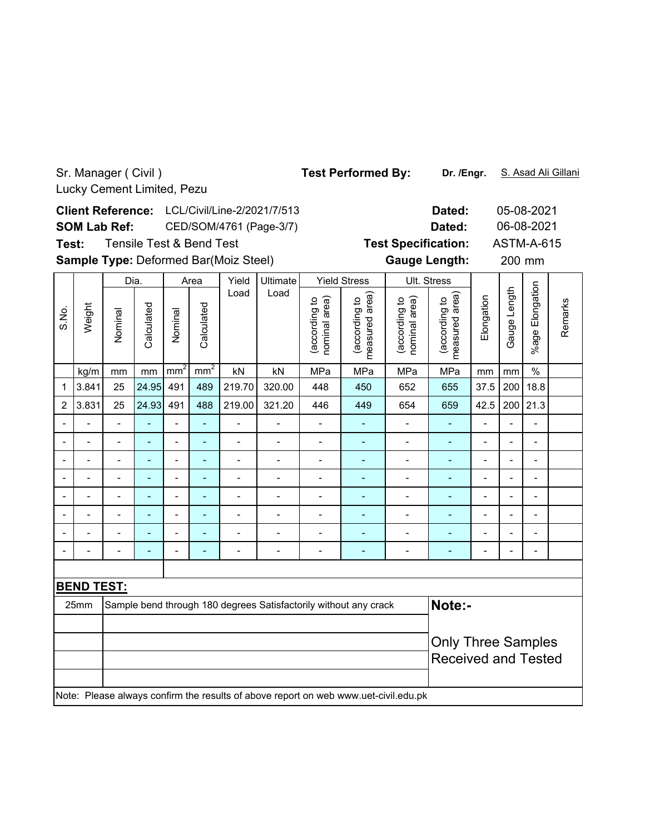### Sr. Manager ( Civil ) Test Performed By: Dr. /Engr. S. Asad Ali Gillani **Dr. /Engr.** Lucky Cement Limited, Pezu **Dated:** 05-08-2021 **Client Reference:** LCL/Civil/Line-2/2021/7/513 06-08-2021 **SOM Lab Ref:** CED/SOM/4761 (Page-3/7) **Dated:** Tensile Test & Bend Test **Test Specification:** ASTM-A-615 **Test:** Sample Type: Deformed Bar(Moiz Steel) **Cauge Length:** 200 mm **Gauge Length:** 200 mm Dia. Area Yield Ultimate Yield StressUlt. Stress %age Elongation %age Elongation Load Load (according to<br>measured area) (according to<br>measured area) Gauge Length Gauge Length (according to<br>nominal area) measured area) (according to<br>nominal area) measured area) **Elongation** (according to (according to (according to (according to nominal area) nominal area) Remarks Remarks Weight Calculated Calculated S.No. Calculated Nominal Calculated Nominal kg/m | mm | mm | mm² | nm² | kN | kN | MPa | MPa | MPa | MPa | mm | mm | % 1 3.841 25 24.95 491 489 219.70 320.00 448 450 652 655 37.5 200 18.8 2 3.831 25 24.93 491 488 219.00 321.20 446 449 654 659 42.5 200 21.3 -- - - - - - - - - - - - -- -- - - - - - - - - - - - -- -- - - - - - - - - - - - -- -- - - - - - - - - - - - -- -- - - - - - - - - - - - -- -- - - - - - - - - - - - -- -- - - - - - - - - - - - -- -- - - - - - - - - - - - -- **BEND TEST:** 25mm Sample bend through 180 degrees Satisfactorily without any crack **Note:**-Only Three Samples Received and Tested Note: Please always confirm the results of above report on web www.uet-civil.edu.pk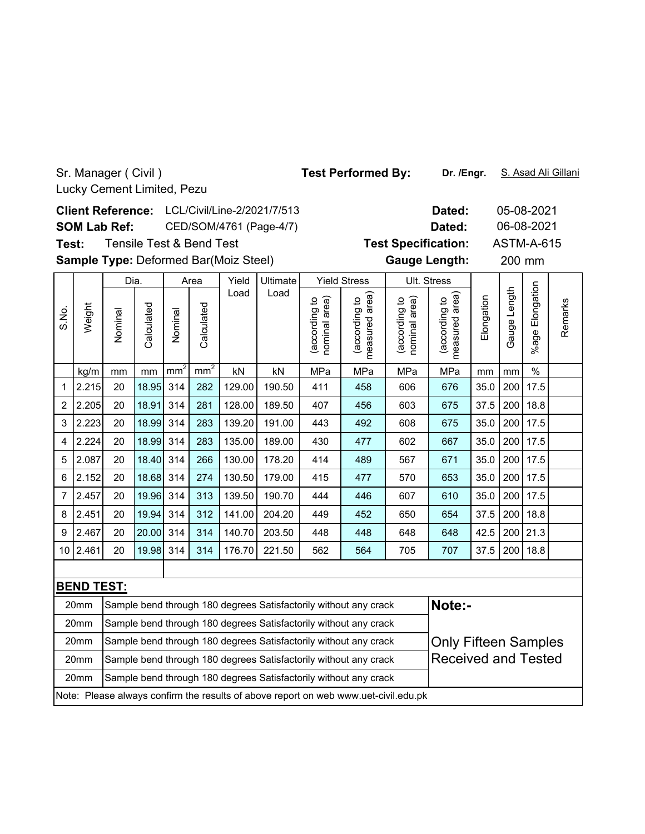20mm 20mm

**Dated:** 05-08-2021 LCL/Civil/Line-2/2021/7/513 **Client Reference:** 06-08-2021 **SOM Lab Ref:** CED/SOM/4761 (Page-4/7) **Dated: Test Specification:** ASTM-A-615 Tensile Test & Bend Test **Test:** Sample Type: Deformed Bar(Moiz Steel) **Cauge Length:** 200 mm **Gauge Length:** 200 Dia. Area Yield Ultimate Yield Stress Ult. Stress %age Elongation %age Elongatior Load Load (according to<br>measured area) Gauge Length Gauge Length (according to<br>measured area) (according to<br>nominal area) measured area) (according to<br>nominal area) measured area) **Elongation** (according to (according to (according to (according to nominal area) nominal area) Remarks Remarks Weight S.No. Calculated Calculated Calculated Calculated (according Nominal Nominal kg/m | mm | mm | mm² | nm² | kN | kN | MPa | MPa | MPa | MPa | mm | mm | % 1 2.215 20 18.95 314 282 129.00 190.50 411 458 606 676 35.0 200 17.5 2 2.205 20 18.91 314 281 128.00 189.50 407 456 603 675 37.5 200 18.8 3 |2.223| 20 |18.99| 314 | 283 | 139.20 | 191.00 | 443 | 492 | 608 | 675 | 35.0 | 200 | 17.5 4 |2.224| 20 |18.99| 314 | 283 | 135.00 | 189.00 | 430 | 477 | 602 | 667 | 35.0 | 200 | 17.5 5 |2.087| 20 |18.40| 314 | 266 |130.00| 178.20 | 414 | 489 | 567 | 671 | 35.0 | 200 | 17.5 6 |2.152| 20 |18.68| 314 | 274 | 130.50| 179.00 | 415 | 477 | 570 | 653 | 35.0 | 200 | 17.5 7 |2.457| 20 |19.96| 314 | 313 | 139.50| 190.70 | 444 | 446 | 607 | 610 | 35.0 | 200 | 17.5 8 |2.451| 20 |19.94| 314 | 312 | 141.00| 204.20 | 449 | 452 | 650 | 654 | 37.5 | 200 | 18.8 9 |2.467| 20 |20.00| 314 | 314 | 140.70| 203.50 | 448 | 448 | 648 | 648 | 42.5 | 200 | 21.3 10 2.461 20 |19.98 314 | 314 | 176.70 | 221.50 | 562 | 564 | 705 | 707 | 37.5 | 200 | 18.8 **BEND TEST:** 20mm  $\, \, \vert$ Sample bend through 180 degrees Satisfactorily without any crack  $\, \vert$  <code>Note:-</code> 20mm Sample bend through 180 degrees Satisfactorily without any crackSample bend through 180 degrees Satisfactorily without any crack **Only Fifteen Samples** 20mm

Note: Please always confirm the results of above report on web www.uet-civil.edu.pk

Sample bend through 180 degrees Satisfactorily without any crack

Sample bend through 180 degrees Satisfactorily without any crack

**Dr. /Engr.** Test Performed By: Dr. /Engr. S. Asad Ali Gillani

Received and Tested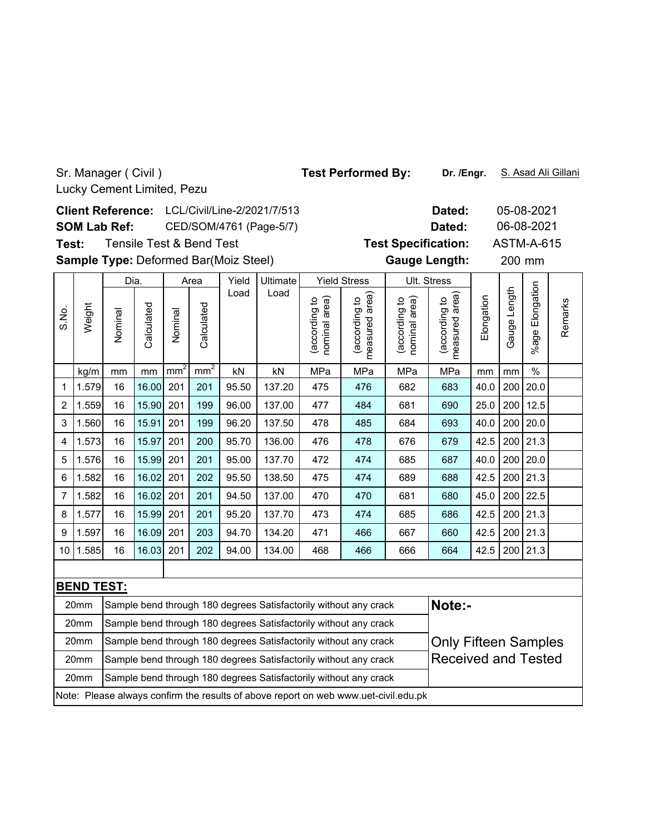S.No.

**Dated:** 05-08-2021 LCL/Civil/Line-2/2021/7/513 **Client Reference:** 06-08-2021 **SOM Lab Ref:** CED/SOM/4761 (Page-5/7) **Dated:** Tensile Test & Bend Test **Test Specification:** ASTM-A-615 **Test:** Sample Type: Deformed Bar(Moiz Steel) **Cauge Length:** 200 mm **Gauge Length:** 200 mm Dia. Area Yield Ultimate Yield Stress Ult. Stress %age Elongation %age Elongation Load Load (according to<br>measured area) (according to<br>measured area) Gauge Length Gauge Length (according to<br>nominal area) measured area) (according to<br>nominal area) measured area) **Elongation** (according to (according to (according to (according to nominal area) nominal area) Weight Calculated Calculated Calculated Calculated Nominal Nominal kg/m | mm | mm | mm² | nm² | kN | kN | MPa | MPa | MPa | MPa | mm | mm | % 1 |1.579| 16 |16.00| 201 | 201 | 95.50 | 137.20 | 475 | 476 | 682 | 683 | 40.0 | 200 | 20.0 2 |1.559| 16 |15.90| 201 | 199 | 96.00 | 137.00 | 477 | 484 | 681 | 690 | 25.0 | 200 | 12.5 3 |1.560| 16 |15.91| 201 | 199 | 96.20 | 137.50 | 478 | 485 | 684 | 693 | 40.0 | 200 | 20.0 4 |1.573| 16 |15.97| 201 | 200 | 95.70 | 136.00 | 476 | 478 | 676 | 679 | 42.5 | 200 | 21.3

5 |1.576| 16 |15.99| 201 | 201 | 95.00 | 137.70 | 472 | 474 | 685 | 687 | 40.0 | 200 | 20.0 6 1.582 16 16.02 201 202 95.50 138.50 475 474 689 688 42.5 200 21.3 7 1.582 16 16.02 201 201 94.50 137.00 470 470 681 680 45.0 200 22.5

| 8                                                                                    | 1.577                                                                                | 16                                                               | 15.99 201 |  | 201 | 95.20 | 137.70 | 473 | 474                                                                                 | 685                        | 686 | 42.5                        |  | 200 21.3 |  |  |
|--------------------------------------------------------------------------------------|--------------------------------------------------------------------------------------|------------------------------------------------------------------|-----------|--|-----|-------|--------|-----|-------------------------------------------------------------------------------------|----------------------------|-----|-----------------------------|--|----------|--|--|
| 9                                                                                    | 1.597                                                                                | 16                                                               | 16.09 201 |  | 203 | 94.70 | 134.20 | 471 | 466                                                                                 | 667                        | 660 | 42.5                        |  | 200 21.3 |  |  |
| 10                                                                                   | 1.585                                                                                | 16                                                               | 16.03 201 |  | 202 | 94.00 | 134.00 | 468 | 466                                                                                 | 666                        | 664 | 42.5                        |  | 200 21.3 |  |  |
|                                                                                      |                                                                                      |                                                                  |           |  |     |       |        |     |                                                                                     |                            |     |                             |  |          |  |  |
|                                                                                      | <b>BEND TEST:</b>                                                                    |                                                                  |           |  |     |       |        |     |                                                                                     |                            |     |                             |  |          |  |  |
|                                                                                      | Sample bend through 180 degrees Satisfactorily without any crack<br>20 <sub>mm</sub> |                                                                  |           |  |     |       |        |     |                                                                                     | Note:-                     |     |                             |  |          |  |  |
|                                                                                      | 20 <sub>mm</sub>                                                                     |                                                                  |           |  |     |       |        |     | Sample bend through 180 degrees Satisfactorily without any crack                    |                            |     |                             |  |          |  |  |
|                                                                                      | Sample bend through 180 degrees Satisfactorily without any crack<br>20 <sub>mm</sub> |                                                                  |           |  |     |       |        |     |                                                                                     |                            |     | <b>Only Fifteen Samples</b> |  |          |  |  |
| Sample bend through 180 degrees Satisfactorily without any crack<br>20 <sub>mm</sub> |                                                                                      |                                                                  |           |  |     |       |        |     |                                                                                     | <b>Received and Tested</b> |     |                             |  |          |  |  |
|                                                                                      | 20 <sub>mm</sub>                                                                     | Sample bend through 180 degrees Satisfactorily without any crack |           |  |     |       |        |     |                                                                                     |                            |     |                             |  |          |  |  |
|                                                                                      |                                                                                      |                                                                  |           |  |     |       |        |     | Note: Please always confirm the results of above report on web www.uet-civil.edu.pk |                            |     |                             |  |          |  |  |

Test Performed By: Dr. /Engr. S. Asad Ali Gillani

**Dr. /Engr.**

Remarks

Remarks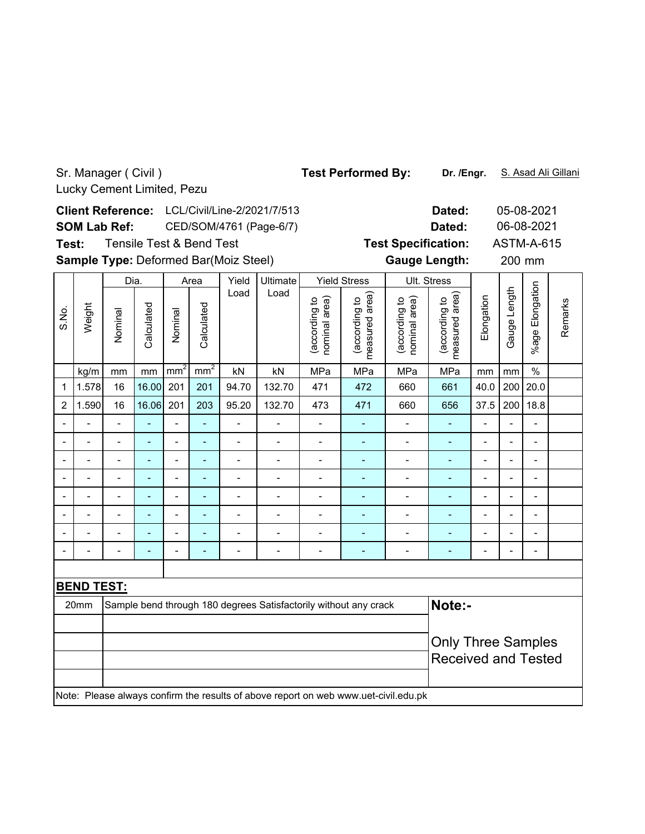Sr. Manager ( Civil ) Test Performed By: Dr. /Engr. S. Asad Ali Gillani **Dr. /Engr.** Lucky Cement Limited, Pezu **Dated:** 05-08-2021 LCL/Civil/Line-2/2021/7/513 **Client Reference:** 06-08-2021 **SOM Lab Ref:** CED/SOM/4761 (Page-6/7) **Dated:** Tensile Test & Bend Test **Test Specification:** ASTM-A-615 **Test:** Sample Type: Deformed Bar(Moiz Steel) **Cauge Length:** 200 mm **Gauge Length:** 200 mm Dia. Area Yield Ultimate Yield Stress Ult. Stress %age Elongation %age Elongation Load Load (according to<br>measured area) (according to<br>measured area) Gauge Length Gauge Length (according to<br>nominal area) measured area) (according to<br>nominal area) measured area) **Elongation** (according to (according to (according to (according to nominal area) nominal area) Remarks Remarks Weight Calculated Calculated S.No. Calculated Calculated Nominal Nominal kg/m | mm | mm | mm² | nm² | kN | kN | MPa | MPa | MPa | MPa | mm | mm | % 1 |1.578| 16 |16.00| 201 | 201 | 94.70 | 132.70 | 471 | 472 | 660 | 661 | 40.0 | 200 | 20.0 2 |1.590| 16 |16.06| 201 | 203 | 95.20 | 132.70 | 473 | 471 | 660 | 656 | 37.5 | 200 | 18.8 -- - - - - - - - - - - - -- -- - - - - - - - - - - - -- -- - - - - - - - - - - - -- -- - - - - - - - - - - - -- -- - - - - - - - - - - - -- -- - - - - - - - - - - - -- -- - - - - - - - - - - - -- -- - - - - - - - - - - - -- **BEND TEST:** 20mm Sample bend through 180 degrees Satisfactorily without any crack **Note:**-Only Three Samples Received and Tested Note: Please always confirm the results of above report on web www.uet-civil.edu.pk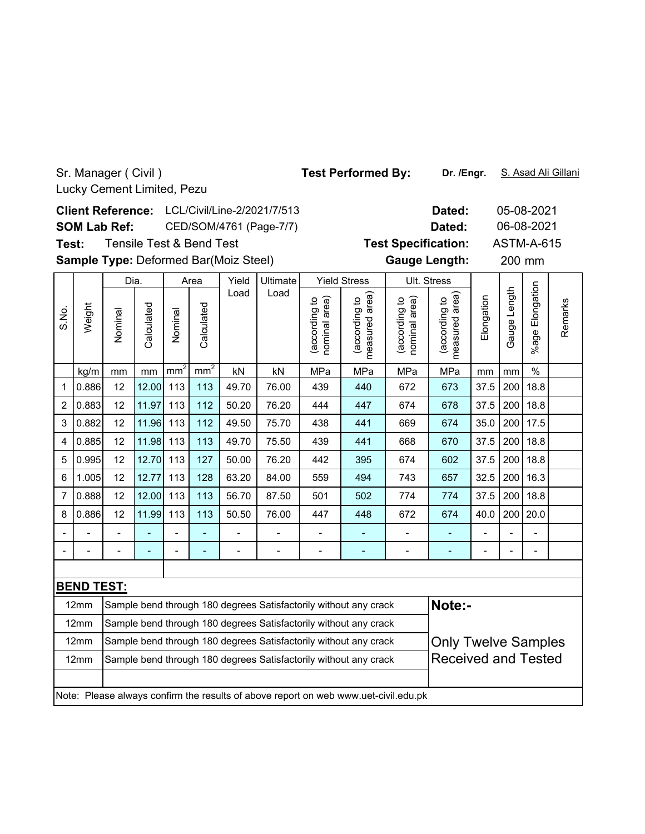**Dated:** 05-08-2021 LCL/Civil/Line-2/2021/7/513 **Client Reference:** 06-08-2021 **SOM Lab Ref:** CED/SOM/4761 (Page-7/7) **Dated:** Tensile Test & Bend Test **Test Specification:** ASTM-A-615 **Test:** Sample Type: Deformed Bar(Moiz Steel) **Cauge Length:** 200 mm **Gauge Length:** 200 mm Dia. Area Yield Ultimate Yield Stress Ult. Stress %age Elongation %age Elongatior Load Load (according to<br>measured area) Gauge Length Gauge Length (according to<br>measured area) (according to<br>nominal area) measured area) (according to<br>nominal area) measured area) **Elongation** (according to (according to (according to (according to nominal area) nominal area) Remarks Remarks Weight S.No. Calculated Calculated Calculated Calculated Nominal Nominal kg/m | mm | mm | mm² | nm² | kN | kN | MPa | MPa | MPa | MPa | mm | mm | % 1 |0.886| 12 |12.00| 113 | 113 | 49.70 | 76.00 | 439 | 440 | 672 | 673 |37.5 |200 |18.8 2 |0.883| 12 |11.97| 113 | 112 | 50.20 | 76.20 | 444 | 447 | 674 | 678 | 37.5 | 200 | 18.8 3 |0.882| 12 |11.96| 113 | 112 | 49.50 | 75.70 | 438 | 441 | 669 | 674 | 35.0 | 200 | 17.5 4 |0.885| 12 |11.98| 113 | 113 | 49.70 | 75.50 | 439 | 441 | 668 | 670 | 37.5 | 200 | 18.8 5 |0.995| 12 |12.70| 113 | 127 | 50.00 | 76.20 | 442 | 395 | 674 | 602 | 37.5 | 200 | 18.8 6 |1.005| 12 |12.77| 113 | 128 | 63.20 | 84.00 | 559 | 494 | 743 | 657 | 32.5 | 200 | 16.3 7 |0.888| 12 |12.00| 113 | 113 | 56.70 | 87.50 | 501 | 502 | 774 | 774 | 37.5 | 200 | 18.8 8 |0.886| 12 |11.99| 113 | 113 | 50.50 | 76.00 | 447 | 448 | 672 | 674 |40.0 |200 |20.0 -- - - - - - - - - - - - -- -- - - - - - - - - - - - -- **BEND TEST:** 12mm Sample bend through 180 degrees Satisfactorily without any crack **Note:-**Sample bend through 180 degrees Satisfactorily without any crack $12mm$ 

|                  | Note: Please always confirm the results of above report on web www.uet-civil.edu.pk |                            |
|------------------|-------------------------------------------------------------------------------------|----------------------------|
|                  |                                                                                     |                            |
| 12 <sub>mm</sub> | Sample bend through 180 degrees Satisfactorily without any crack                    | <b>Received and Tested</b> |
| $12 \text{mm}$   | Sample bend through 180 degrees Satisfactorily without any crack                    | <b>Only Twelve Samples</b> |
| 14111111         | <b>Satille Delia through Too degrees Satisfactority without any crack</b>           |                            |

Test Performed By: Dr. /Engr. S. Asad Ali Gillani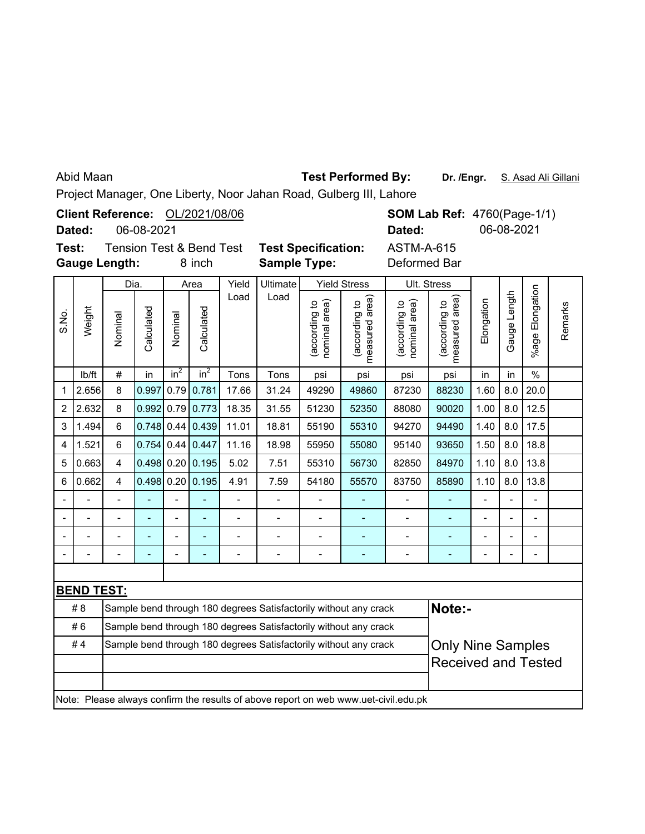## Abid Maan

# **Test Performed By:**

**Dr. /Engr.** S. Asad Ali Gillani

Project Manager, One Liberty, Noor Jahan Road, Gulberg III, Lahore

|       | Dated:            |                         | 06-08-2021   |                | Client Reference: OL/2021/08/06               |                |                                                                  |                                |                                             | Dated:                                                                              |                                 | <b>SOM Lab Ref: 4760(Page-1/1)</b><br>06-08-2021 |                |                          |         |
|-------|-------------------|-------------------------|--------------|----------------|-----------------------------------------------|----------------|------------------------------------------------------------------|--------------------------------|---------------------------------------------|-------------------------------------------------------------------------------------|---------------------------------|--------------------------------------------------|----------------|--------------------------|---------|
| Test: |                   | <b>Gauge Length:</b>    |              |                | <b>Tension Test &amp; Bend Test</b><br>8 inch |                | <b>Test Specification:</b><br><b>Sample Type:</b>                |                                |                                             | <b>ASTM-A-615</b><br>Deformed Bar                                                   |                                 |                                                  |                |                          |         |
|       |                   | Dia.                    |              |                | Area                                          | Yield          | Ultimate                                                         | <b>Yield Stress</b>            |                                             | Ult. Stress                                                                         |                                 |                                                  |                |                          |         |
| S.No. | Weight            | Nominal                 | Calculated   | Nominal        | Calculated                                    | Load           | Load                                                             | (according to<br>nominal area) | (according to<br>measured area)<br>measured | nominal area)<br>(according to                                                      | measured area)<br>(according to | Elongation                                       | Gauge Length   | Elongation<br>%age I     | Remarks |
|       | Ib/ft             | $\#$                    | in           | $in^2$         | $in^2$                                        | Tons           | Tons                                                             | psi                            | psi                                         | psi                                                                                 | psi                             | in                                               | in             | $\frac{0}{0}$            |         |
| 1     | 2.656             | 8                       | 0.997        |                | $0.79$ 0.781                                  | 17.66          | 31.24                                                            | 49290                          | 49860                                       | 87230                                                                               | 88230                           | 1.60                                             | 8.0            | 20.0                     |         |
| 2     | 2.632             | 8                       | 0.992        | 0.79           | 0.773                                         | 18.35          | 31.55                                                            | 51230                          | 52350                                       | 88080                                                                               | 90020                           | 1.00                                             | 8.0            | 12.5                     |         |
| 3     | 1.494             | 6                       | 0.748        | 0.44           | 0.439                                         | 11.01          | 18.81                                                            | 55190                          | 55310                                       | 94270                                                                               | 94490                           | 1.40                                             | 8.0            | 17.5                     |         |
| 4     | 1.521             | 6                       | 0.754        | 0.44           | 0.447                                         | 11.16          | 18.98                                                            | 55950                          | 55080                                       | 95140                                                                               | 93650                           | 1.50                                             | 8.0            | 18.8                     |         |
| 5     | 0.663             | $\overline{\mathbf{4}}$ |              |                | $0.498$ 0.20 0.195                            | 5.02           | 7.51                                                             | 55310                          | 56730                                       | 82850                                                                               | 84970                           | 1.10                                             | 8.0            | 13.8                     |         |
| 6     | 0.662             | $\overline{4}$          | $0.498$ 0.20 |                | 0.195                                         | 4.91           | 7.59                                                             | 54180                          | 55570                                       | 83750                                                                               | 85890                           | 1.10                                             | 8.0            | 13.8                     |         |
|       |                   | $\overline{a}$          |              | $\overline{a}$ | L                                             | $\overline{a}$ | $\frac{1}{2}$                                                    | $\overline{a}$                 | ÷,                                          | $\overline{\phantom{0}}$                                                            | ÷,                              | $\overline{\phantom{0}}$                         | $\overline{a}$ | $\frac{1}{2}$            |         |
|       | $\overline{a}$    | $\overline{a}$          |              | $\overline{a}$ | L,                                            | $\overline{a}$ | $\blacksquare$                                                   | $\blacksquare$                 | ÷,                                          | $\blacksquare$                                                                      | ÷,                              | $\overline{a}$                                   |                | $\overline{\phantom{a}}$ |         |
|       |                   |                         |              |                |                                               | $\overline{a}$ |                                                                  |                                | ÷,                                          | $\overline{a}$                                                                      |                                 |                                                  |                |                          |         |
|       |                   |                         |              |                |                                               | $\overline{a}$ |                                                                  | $\overline{a}$                 | ۰                                           | $\blacksquare$                                                                      | ۰                               |                                                  |                | L,                       |         |
|       |                   |                         |              |                |                                               |                |                                                                  |                                |                                             |                                                                                     |                                 |                                                  |                |                          |         |
|       | <b>BEND TEST:</b> |                         |              |                |                                               |                |                                                                  |                                |                                             |                                                                                     |                                 |                                                  |                |                          |         |
|       | #8                |                         |              |                |                                               |                | Sample bend through 180 degrees Satisfactorily without any crack |                                |                                             |                                                                                     | Note:-                          |                                                  |                |                          |         |
|       | #6                |                         |              |                |                                               |                | Sample bend through 180 degrees Satisfactorily without any crack |                                |                                             |                                                                                     |                                 |                                                  |                |                          |         |
|       | #4                |                         |              |                |                                               |                | Sample bend through 180 degrees Satisfactorily without any crack |                                |                                             |                                                                                     | <b>Only Nine Samples</b>        |                                                  |                |                          |         |
|       |                   |                         |              |                |                                               |                |                                                                  |                                |                                             |                                                                                     | <b>Received and Tested</b>      |                                                  |                |                          |         |
|       |                   |                         |              |                |                                               |                |                                                                  |                                |                                             |                                                                                     |                                 |                                                  |                |                          |         |
|       |                   |                         |              |                |                                               |                |                                                                  |                                |                                             | Note: Please always confirm the results of above report on web www.uet-civil.edu.pk |                                 |                                                  |                |                          |         |
|       |                   |                         |              |                |                                               |                |                                                                  |                                |                                             |                                                                                     |                                 |                                                  |                |                          |         |